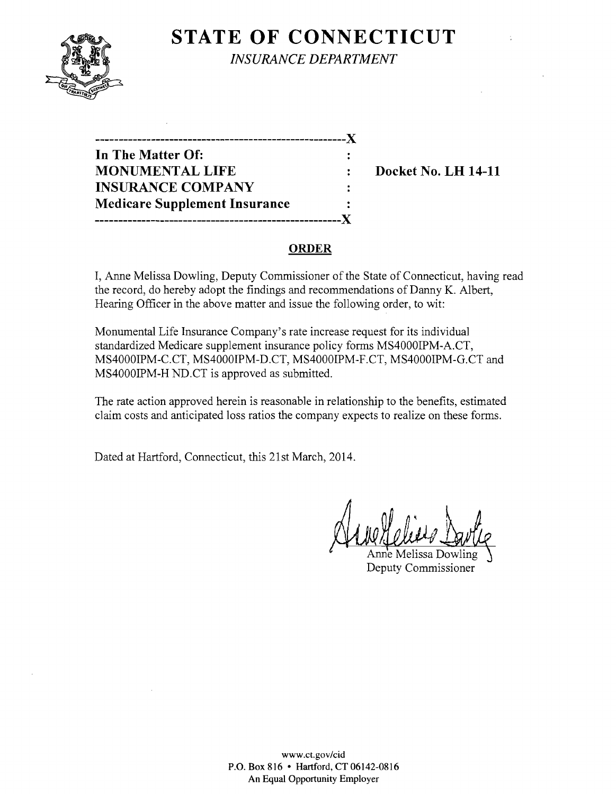

**STATE OF CONNECTICUT** *INSURANCE DEPARTMENT* 

**------------------------------------------------------**J( **In The Matter Of:**  ÷ **MONUMENTAL LIFE : Docket No. LH 14-11 INSURANCE COMPANY**  ÷ **Medicare Supplement Insurance -----------------------------------------------------J(** 

# **ORDER**

I, Anne Melissa Dowling, Deputy Commissioner of the State of Connecticut, having read the record, do hereby adopt the findings and recommendations of Danny K. Albert, Hearing Officer in the above matter and issue the following order, to wit:

Monumental Life Insurance Company's rate increase request for its individual standardized Medicare supplement insurance policy forms MS4000IPM-A.CT, MS4000IPM-C.CT, MS4000IPM-D.CT, MS4000IPM-F.CT, MS4000IPM-G.CT and MS4000IPM-H ND.CT is approved as submitted.

The rate action approved herein is reasonable in relationship to the benefits, estimated claim costs and anticipated loss ratios the company expects to realize on these forms.

Dated at Hartford, Connecticut, this 21st March, 2014.

Anne Melissa Dowling Deputy Commissioner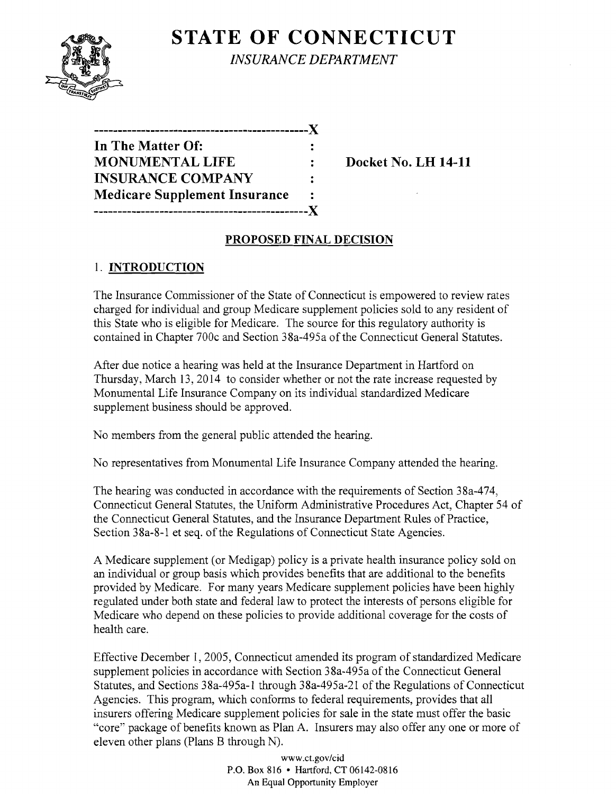

**STATE OF CONNECTICUT** *INSURANCE DEPARTMENT* 

| In The Matter Of:                    |  |
|--------------------------------------|--|
| <b>MONUMENTAL LIFE</b>               |  |
| <b>INSURANCE COMPANY</b>             |  |
| <b>Medicare Supplement Insurance</b> |  |
|                                      |  |

**Docket No. LH 14-11** 

# **PROPOSED FINAL DECISION**

# 1. **INTRODUCTION**

The Insurance Commissioner of the State of Connecticut is empowered to review rates charged for individual and group Medicare supplement policies sold to any resident of this State who is eligible for Medicare. The source for this regulatory authority is contained in Chapter 700c and Section 38a-495a of the Connecticut General Statutes.

After due notice a hearing was held at the Insurance Department in Hartford on Thursday, March 13, 2014 to consider whether or not the rate increase requested by Monumental Life Insurance Company on its individual standardized Medicare supplement business should be approved.

No members from the general public attended the hearing.

No representatives from Monumental Life Insurance Company attended the hearing.

The hearing was conducted in accordance with the requirements of Section 38a-474, Connecticut General Statutes, the Uniform Administrative Procedures Act, Chapter 54 of the Connecticut General Statutes, and the Insurance Department Rules of Practice, Section 38a-8-1 et seq. of the Regulations of Connecticut State Agencies.

A Medicare supplement (or Medigap) policy is a private health insurance policy sold on an individual or group basis which provides benefits that are additional to the benefits provided by Medicare. For many years Medicare supplement policies have been highly regulated under both state and federal law to protect the interests of persons eligible for Medicare who depend on these policies to provide additional coverage for the costs of health care.

Effective December 1,2005, Connecticut amended its program of standardized Medicare supplement policies in accordance with Section 38a-495a of the Connecticut General Statutes, and Sections 38a-495a-l through 38a-495a-21 of the Regulations of Connecticut Agencies. This program, which conforms to federal requirements, provides that all insurers offering Medicare supplement policies for sale in the state must offer the basic "core" package of benefits known as Plan A. Insurers may also offer anyone or more of eleven other plans (Plans B through N).

> www.ct.gov/cid P.O. Box 816 • Hartford, CT 06142-0816 An Equal Opportunity Employer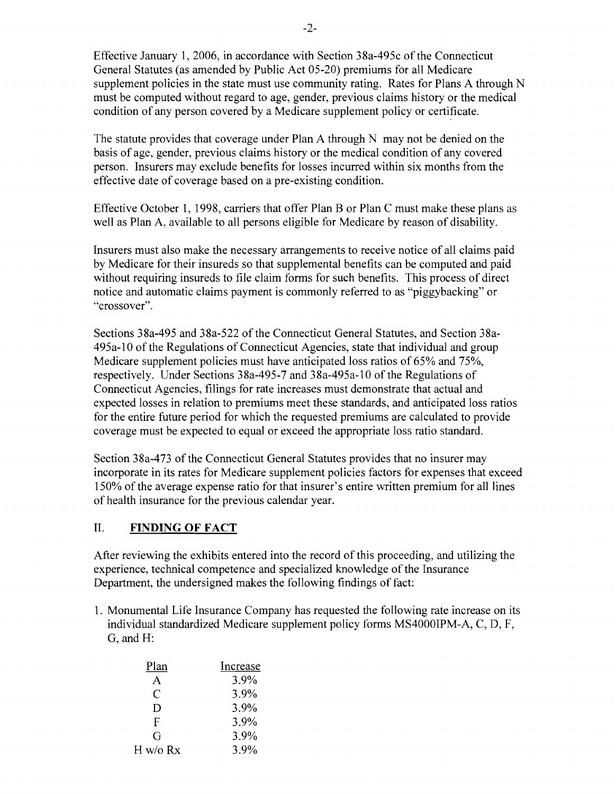Effective January 1,2006, in accordance with Section 38a-495c ofthe Connecticut General Statutes (as amended by Public Act 05-20) premiums for all Medicare supplement policies in the state must use community rating. Rates for Plans A through N must be computed without regard to age, gender, previous claims history or the medical condition of any person covered by a Medicare supplement policy or certificate.

The statute provides that coverage under Plan A through N may not be denied on the basis of age, gender, previous claims history or the medical condition of any covered person. Insurers may exclude benefits for losses incurred within six months from the effective date of coverage based on a pre-existing condition.

Effective October 1, 1998, carriers that offer Plan B or Plan C must make these plans as well as Plan A, available to all persons eligible for Medicare by reason of disability.

Insurers must also make the necessary arrangements to receive notice of all claims paid by Medicare for their insureds so that supplemental benefits can be computed and paid without requiring insureds to file claim forms for such benefits. This process of direct notice and automatic claims payment is commonly referred to as "piggybacking" or "crossover".

Sections 38a-495 and 38a-522 of the Connecticut General Statutes, and Section 38a-495a-l0 of the Regulations of Connecticut Agencies, state that individual and group Medicare supplement policies must have anticipated loss ratios of 65% and 75%, respectively. Under Sections 38a-495-7 and 38a-495a-l0 of the Regulations of Connecticut Agencies, filings for rate increases must demonstrate that actual and expected losses in relation to premiums meet these standards, and anticipated loss ratios for the entire future period for which the requested premiums are calculated to provide coverage must be expected to equal or exceed the appropriate loss ratio standard.

Section 38a-473 of the Connecticut General Statutes provides that no insurer may incorporate in its rates for Medicare supplement policies factors for expenses that exceed 150% of the average expense ratio for that insurer's entire written premium for all lines of health insurance for the previous calendar year.

## II. **FINDING OF FACT**

After reviewing the exhibits entered into the record of this proceeding, and utilizing the experience, technical competence and specialized knowledge of the Insurance Department, the undersigned makes the following findings of fact:

1. Monumental Life Insurance Company has requested the following rate increase on its individual standardized Medicare supplement policy forms MS4000IPM-A, C, D, F, G, and H:

| Plan     | Increase |
|----------|----------|
| А        | 3.9%     |
| C        | 3.9%     |
| D        | 3.9%     |
| F        | 3.9%     |
| G        | $3.9\%$  |
| H w/o Rx | 3.9%     |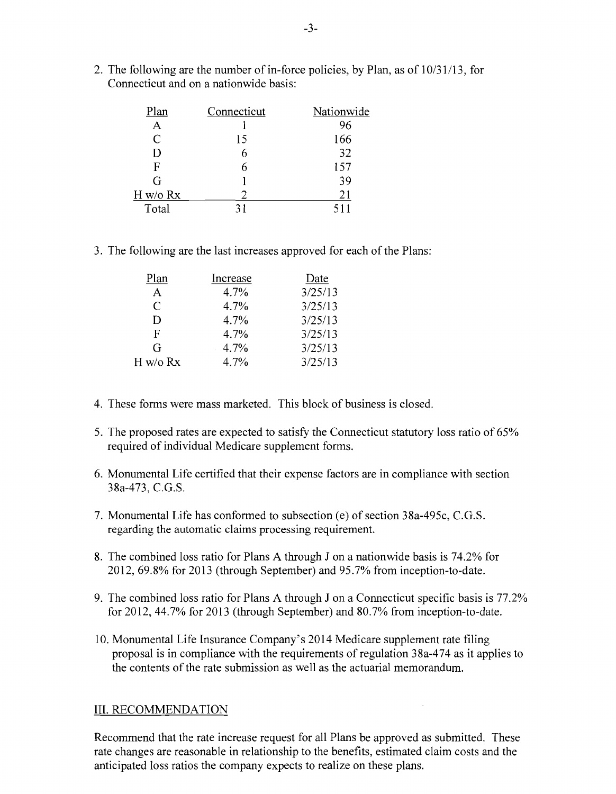2. The following are the number of in-force policies, by Plan, as of  $10/31/13$ , for Connecticut and on a nationwide basis:

| Plan     | Connecticut | Nationwide |
|----------|-------------|------------|
| A        |             | 96         |
| C        | 15          | 166        |
| D        |             | 32         |
| F        |             | 157        |
| G        |             | 39         |
| H w/o Rx |             | 21         |
| Total    |             | 511        |

3. The following are the last increases approved for each of the Plans;

| Plan     | Increase | Date    |
|----------|----------|---------|
| A        | 4.7%     | 3/25/13 |
| C        | 4.7%     | 3/25/13 |
| D        | 4.7%     | 3/25/13 |
| F        | 4.7%     | 3/25/13 |
| G        | 4.7%     | 3/25/13 |
| H w/o Rx | 4.7%     | 3/25/13 |
|          |          |         |

- 4. These forms were mass marketed. This block of business is closed.
- 5. The proposed rates are expected to satisfy the Connecticut statutory loss ratio of 65% required of individual Medicare supplement forms.
- 6. Monumental Life certified that their expense factors are in compliance with section 38a-473, C.G.S.
- 7. Monumental Life has conformed to subsection (e) of section 38a-495c, C.G.S. regarding the automatic claims processing requirement.
- 8. The combined loss ratio for Plans A through J on a nationwide basis is 74.2% for 2012,69.8% for 2013 (through September) and 95.7% from inception-to-date.
- 9. The combined loss ratio for Plans A through J on a Connecticut specific basis is 77.2% for 2012,44.7% for 2013 (through September) and 80.7% from inception-to-date.
- 10. Monumental Life Insurance Company's 2014 Medicare supplement rate filing proposal is in compliance with the requirements ofregulation 38a-474 as it applies to the contents of the rate submission as well as the actuarial memorandum.

## **III.** RECOMMENDATION

Recommend that the rate increase request for all Plans be approved as submitted. These rate changes are reasonable in relationship to the benefits, estimated claim costs and the anticipated loss ratios the company expects to realize on these plans.

 $\sim$